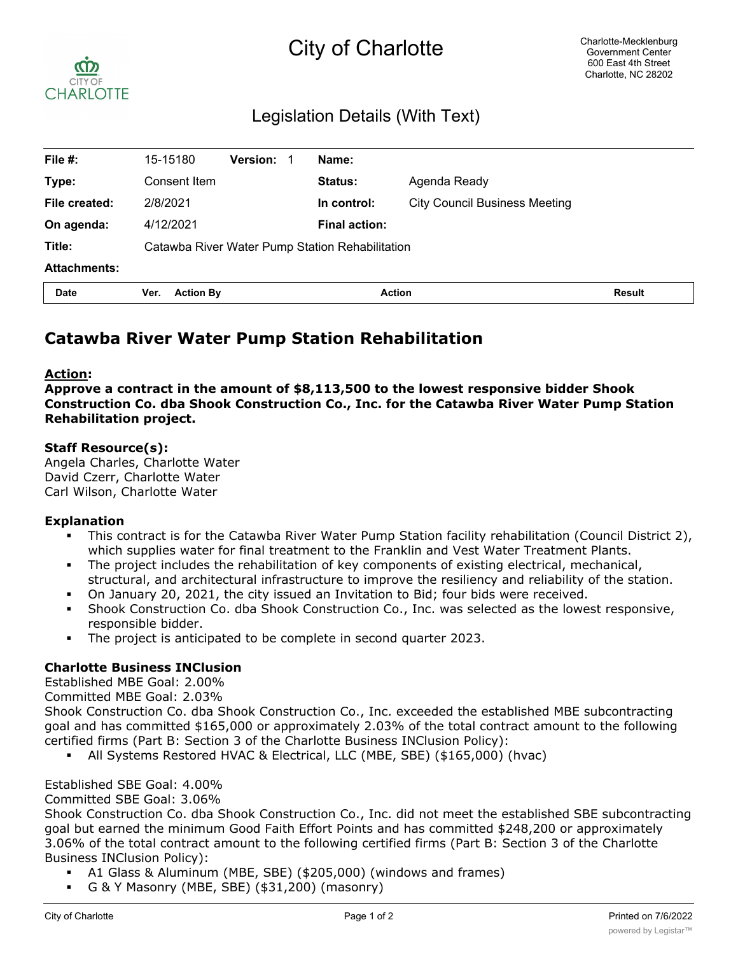# City of Charlotte



## Legislation Details (With Text)

| File $#$ :          | 15-15180                                        | <b>Version:</b> | - 1 | Name:                |                                      |               |
|---------------------|-------------------------------------------------|-----------------|-----|----------------------|--------------------------------------|---------------|
| Type:               | Consent Item                                    |                 |     | <b>Status:</b>       | Agenda Ready                         |               |
| File created:       | 2/8/2021                                        |                 |     | In control:          | <b>City Council Business Meeting</b> |               |
| On agenda:          | 4/12/2021                                       |                 |     | <b>Final action:</b> |                                      |               |
| Title:              | Catawba River Water Pump Station Rehabilitation |                 |     |                      |                                      |               |
| <b>Attachments:</b> |                                                 |                 |     |                      |                                      |               |
| <b>Date</b>         | <b>Action By</b><br>Ver.                        |                 |     | <b>Action</b>        |                                      | <b>Result</b> |

## **Catawba River Water Pump Station Rehabilitation**

#### **Action:**

**Approve a contract in the amount of \$8,113,500 to the lowest responsive bidder Shook Construction Co. dba Shook Construction Co., Inc. for the Catawba River Water Pump Station Rehabilitation project.**

#### **Staff Resource(s):**

Angela Charles, Charlotte Water David Czerr, Charlotte Water Carl Wilson, Charlotte Water

#### **Explanation**

- This contract is for the Catawba River Water Pump Station facility rehabilitation (Council District 2), which supplies water for final treatment to the Franklin and Vest Water Treatment Plants.
- The project includes the rehabilitation of key components of existing electrical, mechanical, structural, and architectural infrastructure to improve the resiliency and reliability of the station.
- On January 20, 2021, the city issued an Invitation to Bid; four bids were received.
- § Shook Construction Co. dba Shook Construction Co., Inc. was selected as the lowest responsive, responsible bidder.
- § The project is anticipated to be complete in second quarter 2023.

#### **Charlotte Business INClusion**

Established MBE Goal: 2.00%

Committed MBE Goal: 2.03%

Shook Construction Co. dba Shook Construction Co., Inc. exceeded the established MBE subcontracting goal and has committed \$165,000 or approximately 2.03% of the total contract amount to the following certified firms (Part B: Section 3 of the Charlotte Business INClusion Policy):

§ All Systems Restored HVAC & Electrical, LLC (MBE, SBE) (\$165,000) (hvac)

Established SBE Goal: 4.00%

Committed SBE Goal: 3.06%

Shook Construction Co. dba Shook Construction Co., Inc. did not meet the established SBE subcontracting goal but earned the minimum Good Faith Effort Points and has committed \$248,200 or approximately 3.06% of the total contract amount to the following certified firms (Part B: Section 3 of the Charlotte Business INClusion Policy):

- § A1 Glass & Aluminum (MBE, SBE) (\$205,000) (windows and frames)
- § G & Y Masonry (MBE, SBE) (\$31,200) (masonry)